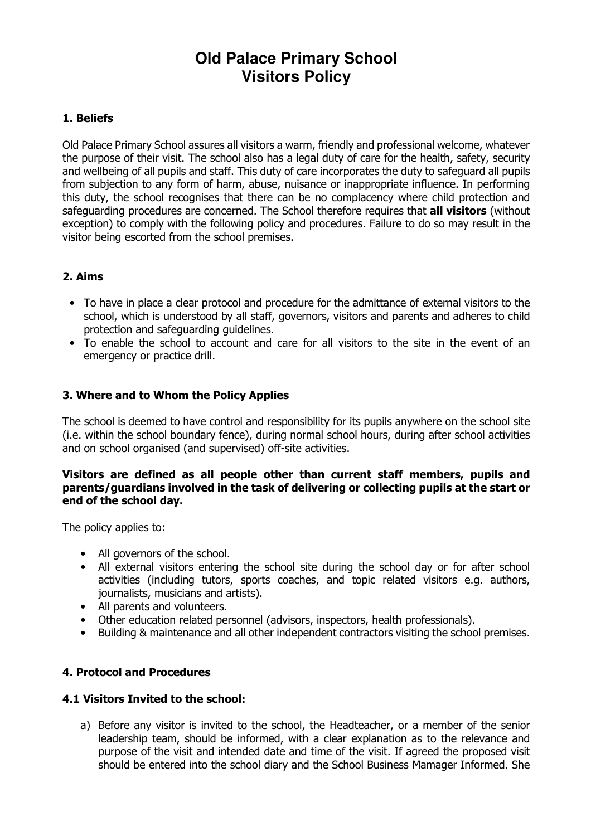# **Old Palace Primary School Visitors Policy**

## 1. Beliefs

Old Palace Primary School assures all visitors a warm, friendly and professional welcome, whatever the purpose of their visit. The school also has a legal duty of care for the health, safety, security and wellbeing of all pupils and staff. This duty of care incorporates the duty to safeguard all pupils from subjection to any form of harm, abuse, nuisance or inappropriate influence. In performing this duty, the school recognises that there can be no complacency where child protection and safeguarding procedures are concerned. The School therefore requires that all visitors (without exception) to comply with the following policy and procedures. Failure to do so may result in the visitor being escorted from the school premises.

# 2. Aims

- To have in place a clear protocol and procedure for the admittance of external visitors to the school, which is understood by all staff, governors, visitors and parents and adheres to child protection and safeguarding guidelines.
- To enable the school to account and care for all visitors to the site in the event of an emergency or practice drill.

# 3. Where and to Whom the Policy Applies

The school is deemed to have control and responsibility for its pupils anywhere on the school site (i.e. within the school boundary fence), during normal school hours, during after school activities and on school organised (and supervised) off-site activities.

#### Visitors are defined as all people other than current staff members, pupils and parents/guardians involved in the task of delivering or collecting pupils at the start or end of the school day.

The policy applies to:

- All governors of the school.
- All external visitors entering the school site during the school day or for after school activities (including tutors, sports coaches, and topic related visitors e.g. authors, journalists, musicians and artists).
- All parents and volunteers.
- Other education related personnel (advisors, inspectors, health professionals).
- Building & maintenance and all other independent contractors visiting the school premises.

# 4. Protocol and Procedures

#### 4.1 Visitors Invited to the school:

a) Before any visitor is invited to the school, the Headteacher, or a member of the senior leadership team, should be informed, with a clear explanation as to the relevance and purpose of the visit and intended date and time of the visit. If agreed the proposed visit should be entered into the school diary and the School Business Mamager Informed. She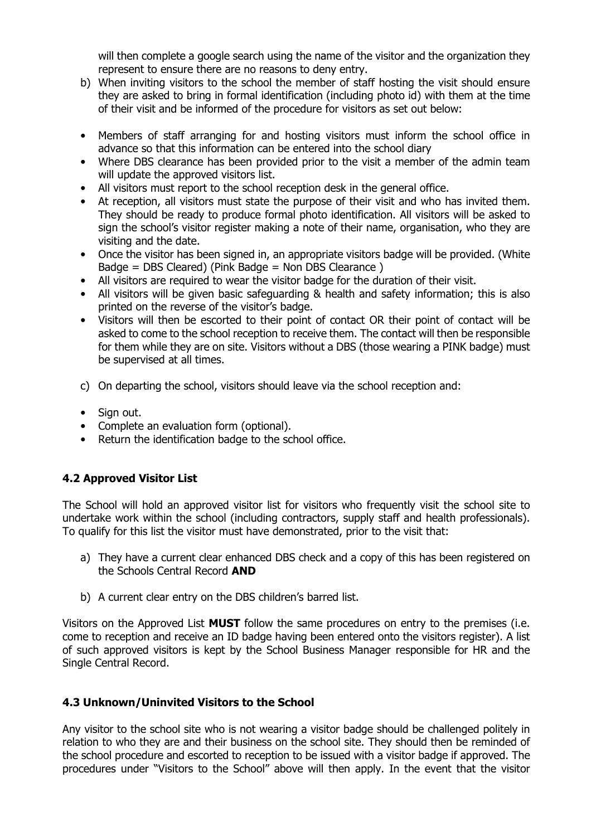will then complete a google search using the name of the visitor and the organization they represent to ensure there are no reasons to deny entry.

- b) When inviting visitors to the school the member of staff hosting the visit should ensure they are asked to bring in formal identification (including photo id) with them at the time of their visit and be informed of the procedure for visitors as set out below:
- Members of staff arranging for and hosting visitors must inform the school office in advance so that this information can be entered into the school diary
- Where DBS clearance has been provided prior to the visit a member of the admin team will update the approved visitors list.
- All visitors must report to the school reception desk in the general office.
- At reception, all visitors must state the purpose of their visit and who has invited them. They should be ready to produce formal photo identification. All visitors will be asked to sign the school's visitor register making a note of their name, organisation, who they are visiting and the date.
- Once the visitor has been signed in, an appropriate visitors badge will be provided. (White Badge = DBS Cleared) (Pink Badge = Non DBS Clearance )
- All visitors are required to wear the visitor badge for the duration of their visit.
- All visitors will be given basic safeguarding & health and safety information; this is also printed on the reverse of the visitor's badge.
- Visitors will then be escorted to their point of contact OR their point of contact will be asked to come to the school reception to receive them. The contact will then be responsible for them while they are on site. Visitors without a DBS (those wearing a PINK badge) must be supervised at all times.
- c) On departing the school, visitors should leave via the school reception and:
- Sign out.
- Complete an evaluation form (optional).
- Return the identification badge to the school office.

# 4.2 Approved Visitor List

The School will hold an approved visitor list for visitors who frequently visit the school site to undertake work within the school (including contractors, supply staff and health professionals). To qualify for this list the visitor must have demonstrated, prior to the visit that:

- a) They have a current clear enhanced DBS check and a copy of this has been registered on the Schools Central Record AND
- b) A current clear entry on the DBS children's barred list.

Visitors on the Approved List **MUST** follow the same procedures on entry to the premises (i.e. come to reception and receive an ID badge having been entered onto the visitors register). A list of such approved visitors is kept by the School Business Manager responsible for HR and the Single Central Record.

#### 4.3 Unknown/Uninvited Visitors to the School

Any visitor to the school site who is not wearing a visitor badge should be challenged politely in relation to who they are and their business on the school site. They should then be reminded of the school procedure and escorted to reception to be issued with a visitor badge if approved. The procedures under "Visitors to the School" above will then apply. In the event that the visitor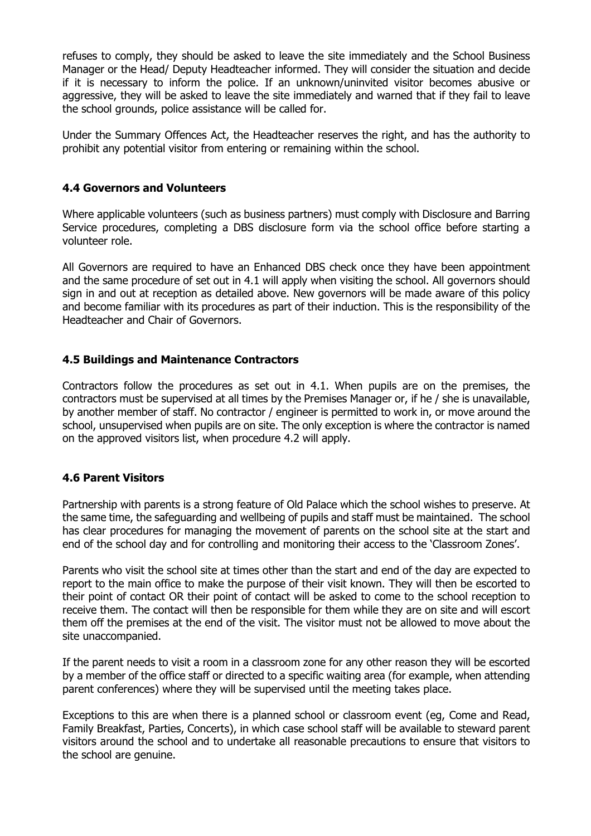refuses to comply, they should be asked to leave the site immediately and the School Business Manager or the Head/ Deputy Headteacher informed. They will consider the situation and decide if it is necessary to inform the police. If an unknown/uninvited visitor becomes abusive or aggressive, they will be asked to leave the site immediately and warned that if they fail to leave the school grounds, police assistance will be called for.

Under the Summary Offences Act, the Headteacher reserves the right, and has the authority to prohibit any potential visitor from entering or remaining within the school.

## 4.4 Governors and Volunteers

Where applicable volunteers (such as business partners) must comply with Disclosure and Barring Service procedures, completing a DBS disclosure form via the school office before starting a volunteer role.

All Governors are required to have an Enhanced DBS check once they have been appointment and the same procedure of set out in 4.1 will apply when visiting the school. All governors should sign in and out at reception as detailed above. New governors will be made aware of this policy and become familiar with its procedures as part of their induction. This is the responsibility of the Headteacher and Chair of Governors.

## 4.5 Buildings and Maintenance Contractors

Contractors follow the procedures as set out in 4.1. When pupils are on the premises, the contractors must be supervised at all times by the Premises Manager or, if he / she is unavailable, by another member of staff. No contractor / engineer is permitted to work in, or move around the school, unsupervised when pupils are on site. The only exception is where the contractor is named on the approved visitors list, when procedure 4.2 will apply.

# 4.6 Parent Visitors

Partnership with parents is a strong feature of Old Palace which the school wishes to preserve. At the same time, the safeguarding and wellbeing of pupils and staff must be maintained. The school has clear procedures for managing the movement of parents on the school site at the start and end of the school day and for controlling and monitoring their access to the 'Classroom Zones'.

Parents who visit the school site at times other than the start and end of the day are expected to report to the main office to make the purpose of their visit known. They will then be escorted to their point of contact OR their point of contact will be asked to come to the school reception to receive them. The contact will then be responsible for them while they are on site and will escort them off the premises at the end of the visit. The visitor must not be allowed to move about the site unaccompanied.

If the parent needs to visit a room in a classroom zone for any other reason they will be escorted by a member of the office staff or directed to a specific waiting area (for example, when attending parent conferences) where they will be supervised until the meeting takes place.

Exceptions to this are when there is a planned school or classroom event (eg, Come and Read, Family Breakfast, Parties, Concerts), in which case school staff will be available to steward parent visitors around the school and to undertake all reasonable precautions to ensure that visitors to the school are genuine.